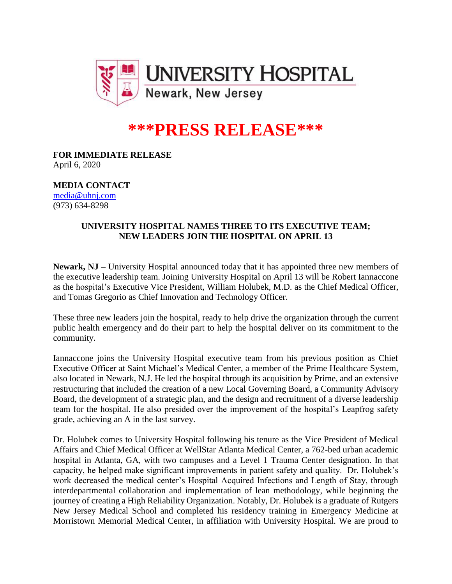

## **\*\*\*PRESS RELEASE\*\*\***

**FOR IMMEDIATE RELEASE** April 6, 2020

**MEDIA CONTACT**

[media@uhnj.com](mailto:media@uhnj.com) (973) 634-8298

## **UNIVERSITY HOSPITAL NAMES THREE TO ITS EXECUTIVE TEAM; NEW LEADERS JOIN THE HOSPITAL ON APRIL 13**

**Newark, NJ –** University Hospital announced today that it has appointed three new members of the executive leadership team. Joining University Hospital on April 13 will be Robert Iannaccone as the hospital's Executive Vice President, William Holubek, M.D. as the Chief Medical Officer, and Tomas Gregorio as Chief Innovation and Technology Officer.

These three new leaders join the hospital, ready to help drive the organization through the current public health emergency and do their part to help the hospital deliver on its commitment to the community.

Iannaccone joins the University Hospital executive team from his previous position as Chief Executive Officer at Saint Michael's Medical Center, a member of the Prime Healthcare System, also located in Newark, N.J. He led the hospital through its acquisition by Prime, and an extensive restructuring that included the creation of a new Local Governing Board, a Community Advisory Board, the development of a strategic plan, and the design and recruitment of a diverse leadership team for the hospital. He also presided over the improvement of the hospital's Leapfrog safety grade, achieving an A in the last survey.

Dr. Holubek comes to University Hospital following his tenure as the Vice President of Medical Affairs and Chief Medical Officer at WellStar Atlanta Medical Center, a 762-bed urban academic hospital in Atlanta, GA, with two campuses and a Level 1 Trauma Center designation. In that capacity, he helped make significant improvements in patient safety and quality. Dr. Holubek's work decreased the medical center's Hospital Acquired Infections and Length of Stay, through interdepartmental collaboration and implementation of lean methodology, while beginning the journey of creating a High Reliability Organization. Notably, Dr. Holubek is a graduate of Rutgers New Jersey Medical School and completed his residency training in Emergency Medicine at Morristown Memorial Medical Center, in affiliation with University Hospital. We are proud to